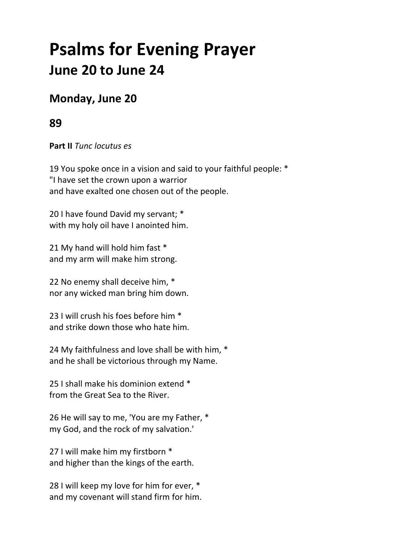# **Psalms for Evening Prayer June 20 to June 24**

## **Monday, June 20**

### **89**

**Part II** *Tunc locutus es*

19 You spoke once in a vision and said to your faithful people: \* "I have set the crown upon a warrior and have exalted one chosen out of the people.

20 I have found David my servant; \* with my holy oil have I anointed him.

21 My hand will hold him fast \* and my arm will make him strong.

22 No enemy shall deceive him, \* nor any wicked man bring him down.

23 I will crush his foes before him \* and strike down those who hate him.

24 My faithfulness and love shall be with him, \* and he shall be victorious through my Name.

25 I shall make his dominion extend \* from the Great Sea to the River.

26 He will say to me, 'You are my Father, \* my God, and the rock of my salvation.'

27 I will make him my firstborn \* and higher than the kings of the earth.

28 I will keep my love for him for ever, \* and my covenant will stand firm for him.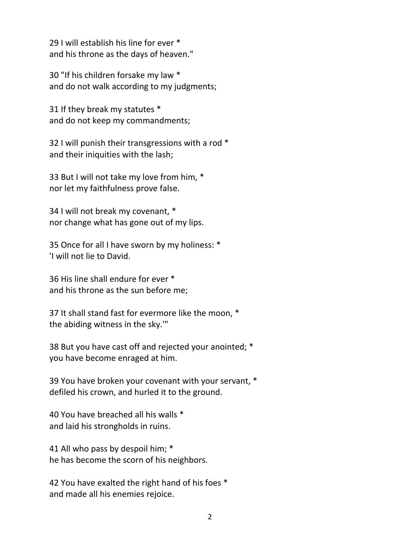29 I will establish his line for ever \* and his throne as the days of heaven."

30 "If his children forsake my law \* and do not walk according to my judgments;

31 If they break my statutes \* and do not keep my commandments;

32 I will punish their transgressions with a rod \* and their iniquities with the lash;

33 But I will not take my love from him, \* nor let my faithfulness prove false.

34 I will not break my covenant, \* nor change what has gone out of my lips.

35 Once for all I have sworn by my holiness: \* 'I will not lie to David.

36 His line shall endure for ever \* and his throne as the sun before me;

37 It shall stand fast for evermore like the moon, \* the abiding witness in the sky.'"

38 But you have cast off and rejected your anointed; \* you have become enraged at him.

39 You have broken your covenant with your servant, \* defiled his crown, and hurled it to the ground.

40 You have breached all his walls \* and laid his strongholds in ruins.

41 All who pass by despoil him; \* he has become the scorn of his neighbors.

42 You have exalted the right hand of his foes \* and made all his enemies rejoice.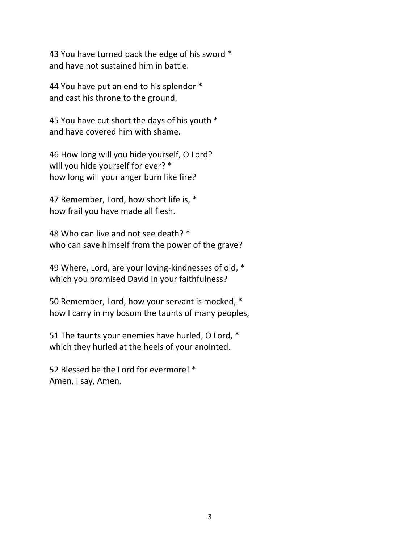43 You have turned back the edge of his sword \* and have not sustained him in battle.

44 You have put an end to his splendor \* and cast his throne to the ground.

45 You have cut short the days of his youth \* and have covered him with shame.

46 How long will you hide yourself, O Lord? will you hide yourself for ever? \* how long will your anger burn like fire?

47 Remember, Lord, how short life is, \* how frail you have made all flesh.

48 Who can live and not see death? \* who can save himself from the power of the grave?

49 Where, Lord, are your loving-kindnesses of old, \* which you promised David in your faithfulness?

50 Remember, Lord, how your servant is mocked, \* how I carry in my bosom the taunts of many peoples,

51 The taunts your enemies have hurled, O Lord, \* which they hurled at the heels of your anointed.

52 Blessed be the Lord for evermore! \* Amen, I say, Amen.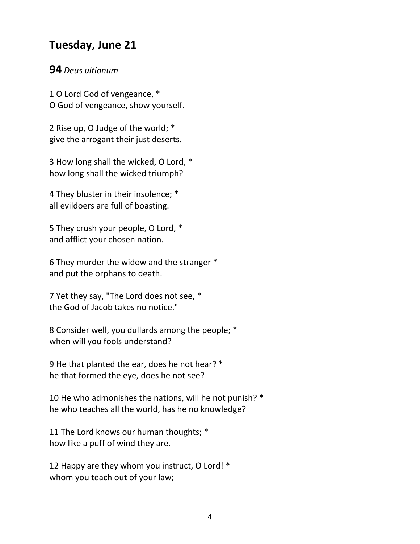## **Tuesday, June 21**

#### **94** *Deus ultionum*

1 O Lord God of vengeance, \* O God of vengeance, show yourself.

2 Rise up, O Judge of the world; \* give the arrogant their just deserts.

3 How long shall the wicked, O Lord, \* how long shall the wicked triumph?

4 They bluster in their insolence; \* all evildoers are full of boasting.

5 They crush your people, O Lord, \* and afflict your chosen nation.

6 They murder the widow and the stranger \* and put the orphans to death.

7 Yet they say, "The Lord does not see, \* the God of Jacob takes no notice."

8 Consider well, you dullards among the people; \* when will you fools understand?

9 He that planted the ear, does he not hear? \* he that formed the eye, does he not see?

10 He who admonishes the nations, will he not punish? \* he who teaches all the world, has he no knowledge?

11 The Lord knows our human thoughts; \* how like a puff of wind they are.

12 Happy are they whom you instruct, O Lord! \* whom you teach out of your law;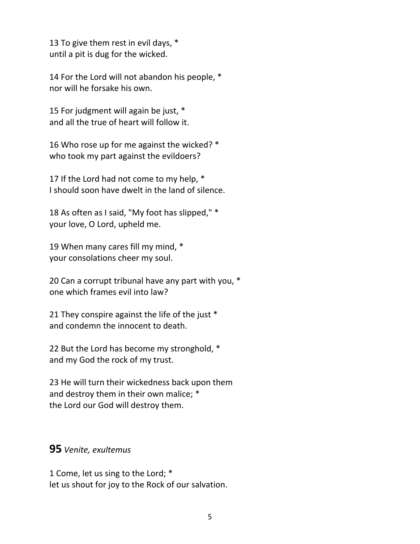13 To give them rest in evil days, \* until a pit is dug for the wicked.

14 For the Lord will not abandon his people, \* nor will he forsake his own.

15 For judgment will again be just, \* and all the true of heart will follow it.

16 Who rose up for me against the wicked? \* who took my part against the evildoers?

17 If the Lord had not come to my help,  $*$ I should soon have dwelt in the land of silence.

18 As often as I said, "My foot has slipped," \* your love, O Lord, upheld me.

19 When many cares fill my mind, \* your consolations cheer my soul.

20 Can a corrupt tribunal have any part with you, \* one which frames evil into law?

21 They conspire against the life of the just \* and condemn the innocent to death.

22 But the Lord has become my stronghold, \* and my God the rock of my trust.

23 He will turn their wickedness back upon them and destroy them in their own malice; \* the Lord our God will destroy them.

#### **95** *Venite, exultemus*

1 Come, let us sing to the Lord; \* let us shout for joy to the Rock of our salvation.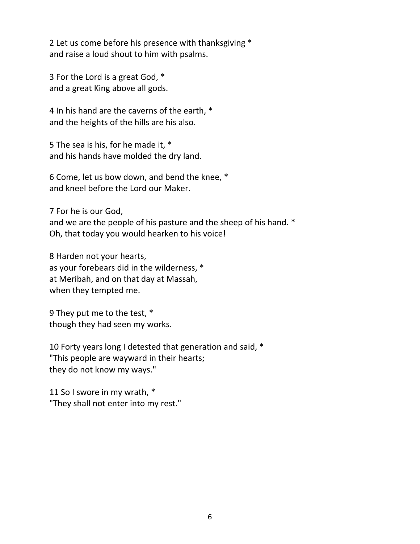2 Let us come before his presence with thanksgiving \* and raise a loud shout to him with psalms.

3 For the Lord is a great God, \* and a great King above all gods.

4 In his hand are the caverns of the earth, \* and the heights of the hills are his also.

5 The sea is his, for he made it, \* and his hands have molded the dry land.

6 Come, let us bow down, and bend the knee, \* and kneel before the Lord our Maker.

7 For he is our God, and we are the people of his pasture and the sheep of his hand. \* Oh, that today you would hearken to his voice!

8 Harden not your hearts, as your forebears did in the wilderness, \* at Meribah, and on that day at Massah, when they tempted me.

9 They put me to the test, \* though they had seen my works.

10 Forty years long I detested that generation and said, \* "This people are wayward in their hearts; they do not know my ways."

11 So I swore in my wrath, \* "They shall not enter into my rest."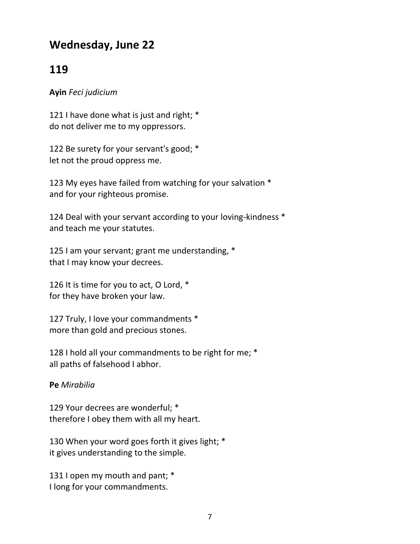## **Wednesday, June 22**

## **119**

#### **Ayin** *Feci judicium*

121 I have done what is just and right; \* do not deliver me to my oppressors.

122 Be surety for your servant's good; \* let not the proud oppress me.

123 My eyes have failed from watching for your salvation \* and for your righteous promise.

124 Deal with your servant according to your loving-kindness \* and teach me your statutes.

125 I am your servant; grant me understanding, \* that I may know your decrees.

126 It is time for you to act, O Lord, \* for they have broken your law.

127 Truly, I love your commandments \* more than gold and precious stones.

128 I hold all your commandments to be right for me; \* all paths of falsehood I abhor.

#### **Pe** *Mirabilia*

129 Your decrees are wonderful; \* therefore I obey them with all my heart.

130 When your word goes forth it gives light; \* it gives understanding to the simple.

131 I open my mouth and pant; \* I long for your commandments.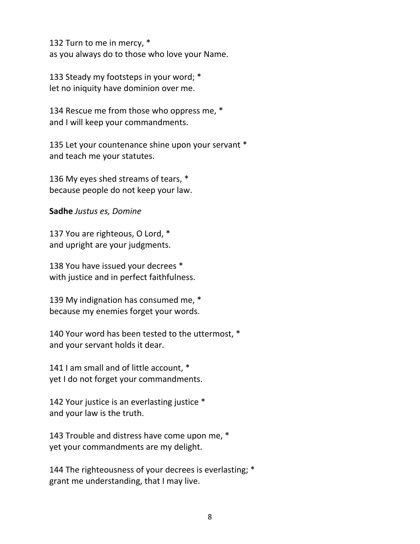132 Turn to me in mercy, \* as you always do to those who love your Name.

133 Steady my footsteps in your word; \* let no iniquity have dominion over me.

134 Rescue me from those who oppress me, \* and I will keep your commandments.

135 Let your countenance shine upon your servant \* and teach me your statutes.

136 My eyes shed streams of tears, \* because people do not keep your law.

**Sadhe** *Justus es, Domine*

137 You are righteous, O Lord, \* and upright are your judgments.

138 You have issued your decrees \* with justice and in perfect faithfulness.

139 My indignation has consumed me, \* because my enemies forget your words.

140 Your word has been tested to the uttermost, \* and your servant holds it dear.

141 I am small and of little account, \* yet I do not forget your commandments.

142 Your justice is an everlasting justice \* and your law is the truth.

143 Trouble and distress have come upon me, \* yet your commandments are my delight.

144 The righteousness of your decrees is everlasting; \* grant me understanding, that I may live.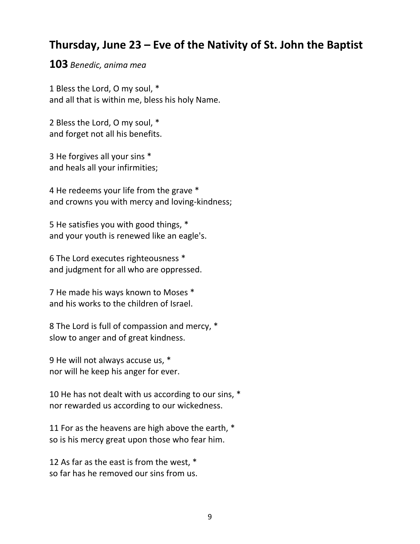## **Thursday, June 23 – Eve of the Nativity of St. John the Baptist**

#### **103** *Benedic, anima mea*

1 Bless the Lord, O my soul, \* and all that is within me, bless his holy Name.

2 Bless the Lord, O my soul, \* and forget not all his benefits.

3 He forgives all your sins \* and heals all your infirmities;

4 He redeems your life from the grave \* and crowns you with mercy and loving‐kindness;

5 He satisfies you with good things, \* and your youth is renewed like an eagle's.

6 The Lord executes righteousness \* and judgment for all who are oppressed.

7 He made his ways known to Moses \* and his works to the children of Israel.

8 The Lord is full of compassion and mercy, \* slow to anger and of great kindness.

9 He will not always accuse us, \* nor will he keep his anger for ever.

10 He has not dealt with us according to our sins, \* nor rewarded us according to our wickedness.

11 For as the heavens are high above the earth, \* so is his mercy great upon those who fear him.

12 As far as the east is from the west, \* so far has he removed our sins from us.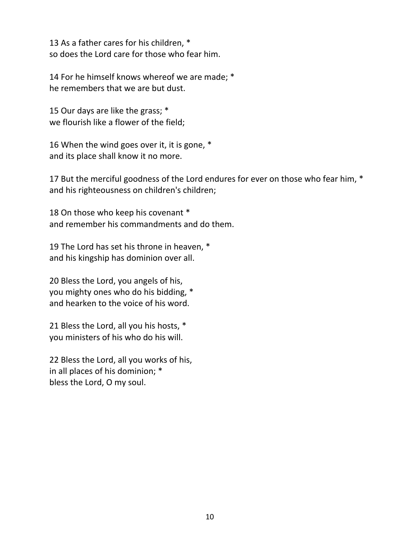13 As a father cares for his children, \* so does the Lord care for those who fear him.

14 For he himself knows whereof we are made; \* he remembers that we are but dust.

15 Our days are like the grass; \* we flourish like a flower of the field;

16 When the wind goes over it, it is gone, \* and its place shall know it no more.

17 But the merciful goodness of the Lord endures for ever on those who fear him, \* and his righteousness on children's children;

18 On those who keep his covenant \* and remember his commandments and do them.

19 The Lord has set his throne in heaven, \* and his kingship has dominion over all.

20 Bless the Lord, you angels of his, you mighty ones who do his bidding, \* and hearken to the voice of his word.

21 Bless the Lord, all you his hosts, \* you ministers of his who do his will.

22 Bless the Lord, all you works of his, in all places of his dominion; \* bless the Lord, O my soul.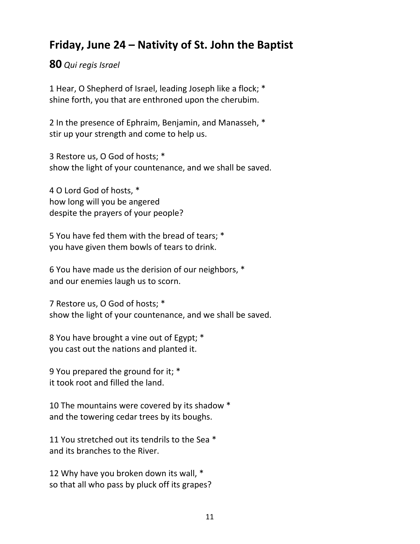# **Friday, June 24 – Nativity of St. John the Baptist**

**80** *Qui regis Israel*

1 Hear, O Shepherd of Israel, leading Joseph like a flock; \* shine forth, you that are enthroned upon the cherubim.

2 In the presence of Ephraim, Benjamin, and Manasseh, \* stir up your strength and come to help us.

3 Restore us, O God of hosts; \* show the light of your countenance, and we shall be saved.

4 O Lord God of hosts, \* how long will you be angered despite the prayers of your people?

5 You have fed them with the bread of tears; \* you have given them bowls of tears to drink.

6 You have made us the derision of our neighbors, \* and our enemies laugh us to scorn.

7 Restore us, O God of hosts; \* show the light of your countenance, and we shall be saved.

8 You have brought a vine out of Egypt; \* you cast out the nations and planted it.

9 You prepared the ground for it; \* it took root and filled the land.

10 The mountains were covered by its shadow \* and the towering cedar trees by its boughs.

11 You stretched out its tendrils to the Sea \* and its branches to the River.

12 Why have you broken down its wall, \* so that all who pass by pluck off its grapes?